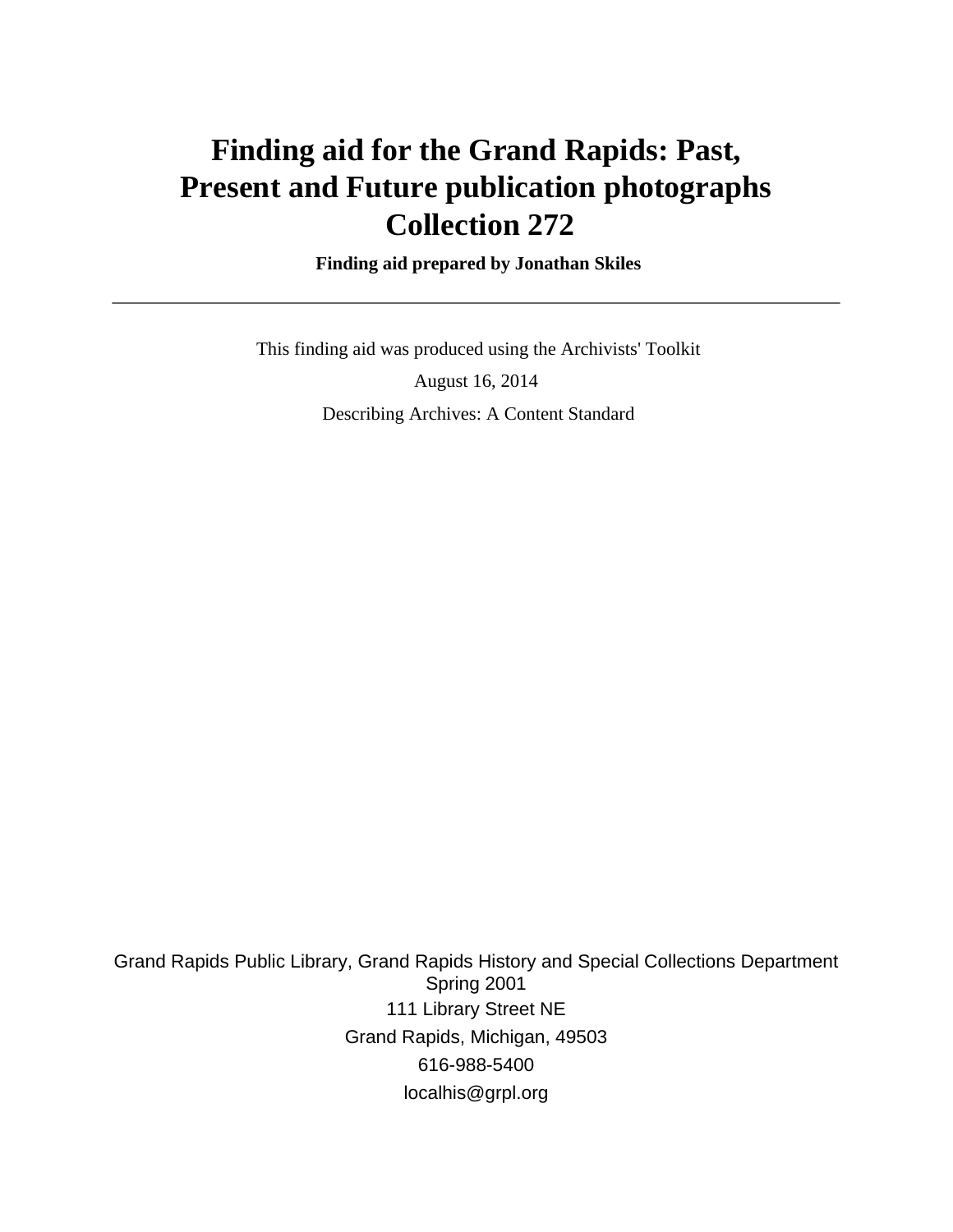# **Finding aid for the Grand Rapids: Past, Present and Future publication photographs Collection 272**

 **Finding aid prepared by Jonathan Skiles**

 This finding aid was produced using the Archivists' Toolkit August 16, 2014 Describing Archives: A Content Standard

Grand Rapids Public Library, Grand Rapids History and Special Collections Department Spring 2001 111 Library Street NE Grand Rapids, Michigan, 49503 616-988-5400 localhis@grpl.org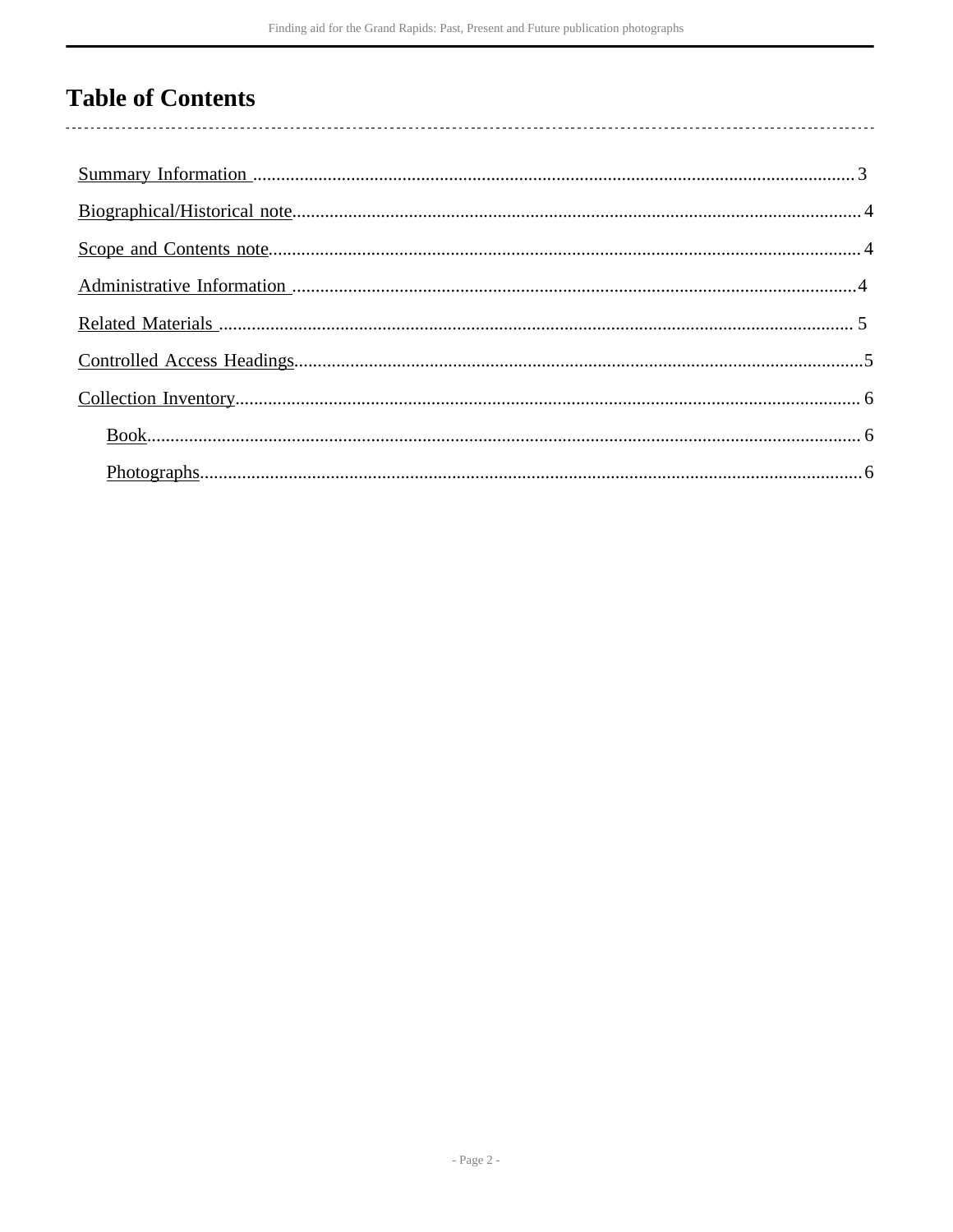## **Table of Contents**

 $\overline{\phantom{a}}$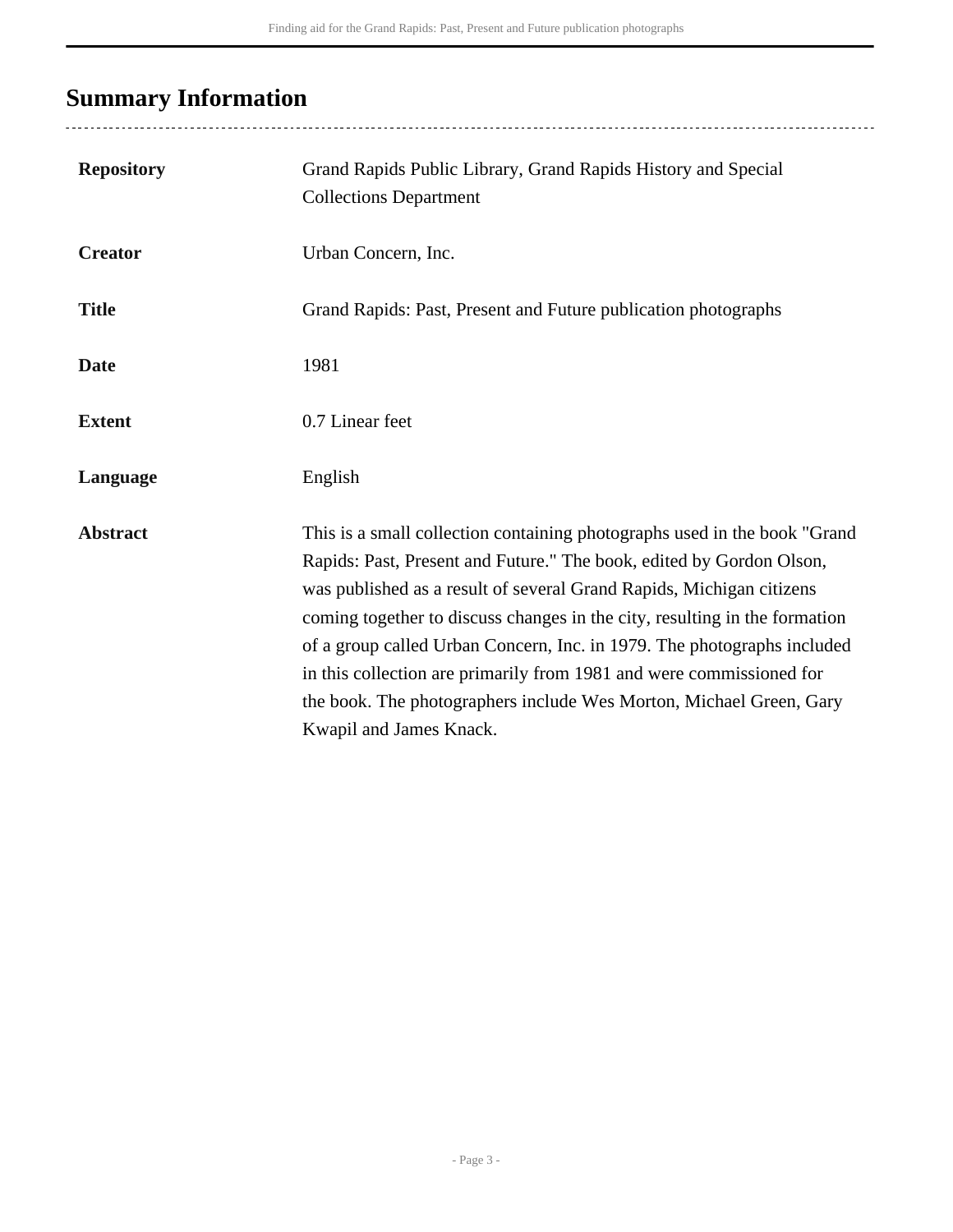# <span id="page-2-0"></span>**Summary Information**

| <b>Repository</b> | Grand Rapids Public Library, Grand Rapids History and Special<br><b>Collections Department</b>                                                                                                                                                                                                                                                                                                                                                                                                                                                                |
|-------------------|---------------------------------------------------------------------------------------------------------------------------------------------------------------------------------------------------------------------------------------------------------------------------------------------------------------------------------------------------------------------------------------------------------------------------------------------------------------------------------------------------------------------------------------------------------------|
| <b>Creator</b>    | Urban Concern, Inc.                                                                                                                                                                                                                                                                                                                                                                                                                                                                                                                                           |
| <b>Title</b>      | Grand Rapids: Past, Present and Future publication photographs                                                                                                                                                                                                                                                                                                                                                                                                                                                                                                |
| <b>Date</b>       | 1981                                                                                                                                                                                                                                                                                                                                                                                                                                                                                                                                                          |
| <b>Extent</b>     | 0.7 Linear feet                                                                                                                                                                                                                                                                                                                                                                                                                                                                                                                                               |
| Language          | English                                                                                                                                                                                                                                                                                                                                                                                                                                                                                                                                                       |
| <b>Abstract</b>   | This is a small collection containing photographs used in the book "Grand"<br>Rapids: Past, Present and Future." The book, edited by Gordon Olson,<br>was published as a result of several Grand Rapids, Michigan citizens<br>coming together to discuss changes in the city, resulting in the formation<br>of a group called Urban Concern, Inc. in 1979. The photographs included<br>in this collection are primarily from 1981 and were commissioned for<br>the book. The photographers include Wes Morton, Michael Green, Gary<br>Kwapil and James Knack. |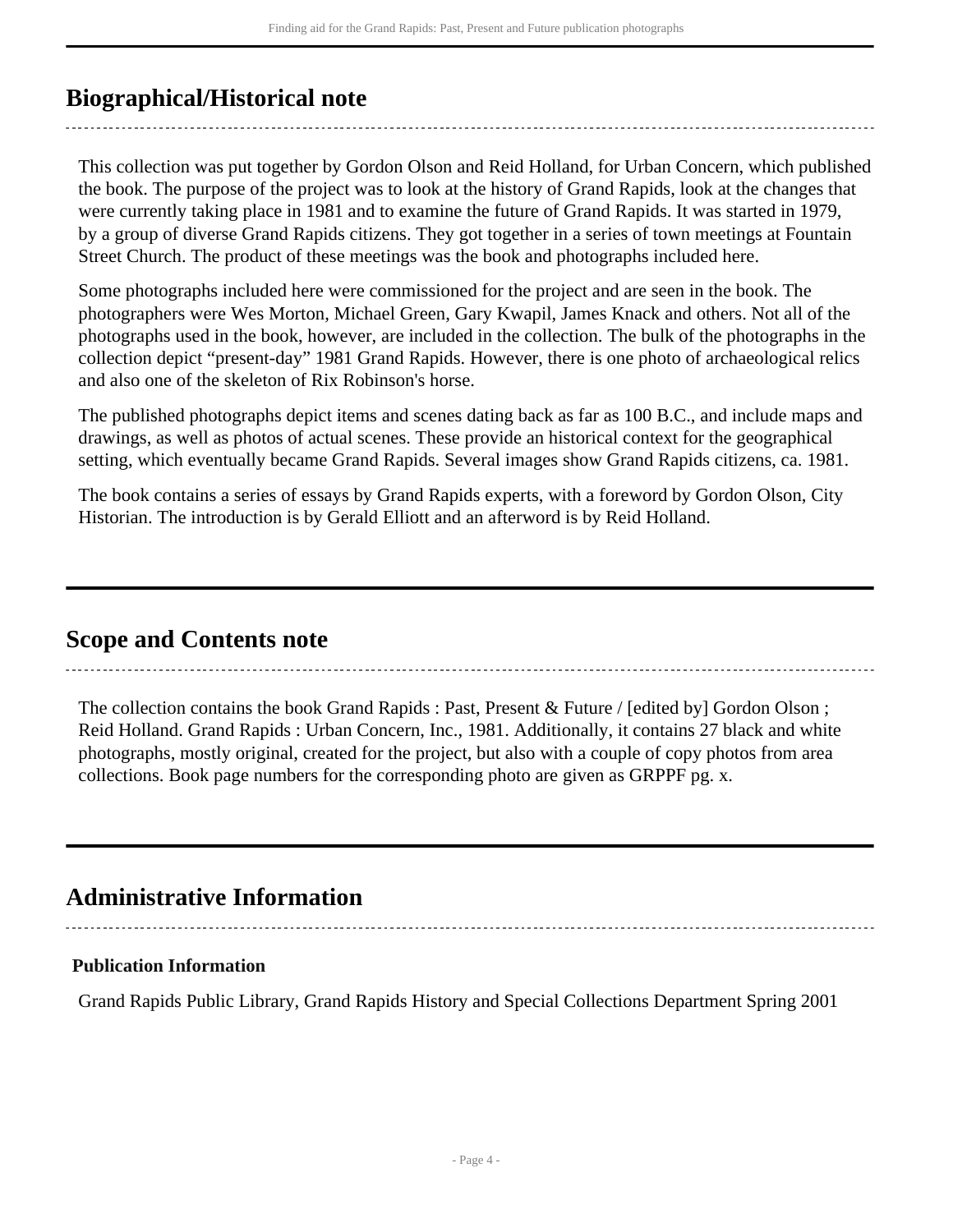## <span id="page-3-0"></span>**Biographical/Historical note**

This collection was put together by Gordon Olson and Reid Holland, for Urban Concern, which published the book. The purpose of the project was to look at the history of Grand Rapids, look at the changes that were currently taking place in 1981 and to examine the future of Grand Rapids. It was started in 1979, by a group of diverse Grand Rapids citizens. They got together in a series of town meetings at Fountain Street Church. The product of these meetings was the book and photographs included here.

Some photographs included here were commissioned for the project and are seen in the book. The photographers were Wes Morton, Michael Green, Gary Kwapil, James Knack and others. Not all of the photographs used in the book, however, are included in the collection. The bulk of the photographs in the collection depict "present-day" 1981 Grand Rapids. However, there is one photo of archaeological relics and also one of the skeleton of Rix Robinson's horse.

The published photographs depict items and scenes dating back as far as 100 B.C., and include maps and drawings, as well as photos of actual scenes. These provide an historical context for the geographical setting, which eventually became Grand Rapids. Several images show Grand Rapids citizens, ca. 1981.

The book contains a series of essays by Grand Rapids experts, with a foreword by Gordon Olson, City Historian. The introduction is by Gerald Elliott and an afterword is by Reid Holland.

## <span id="page-3-1"></span>**Scope and Contents note**

The collection contains the book Grand Rapids : Past, Present & Future / [edited by] Gordon Olson ; Reid Holland. Grand Rapids : Urban Concern, Inc., 1981. Additionally, it contains 27 black and white photographs, mostly original, created for the project, but also with a couple of copy photos from area collections. Book page numbers for the corresponding photo are given as GRPPF pg. x.

## <span id="page-3-2"></span>**Administrative Information**

#### **Publication Information**

Grand Rapids Public Library, Grand Rapids History and Special Collections Department Spring 2001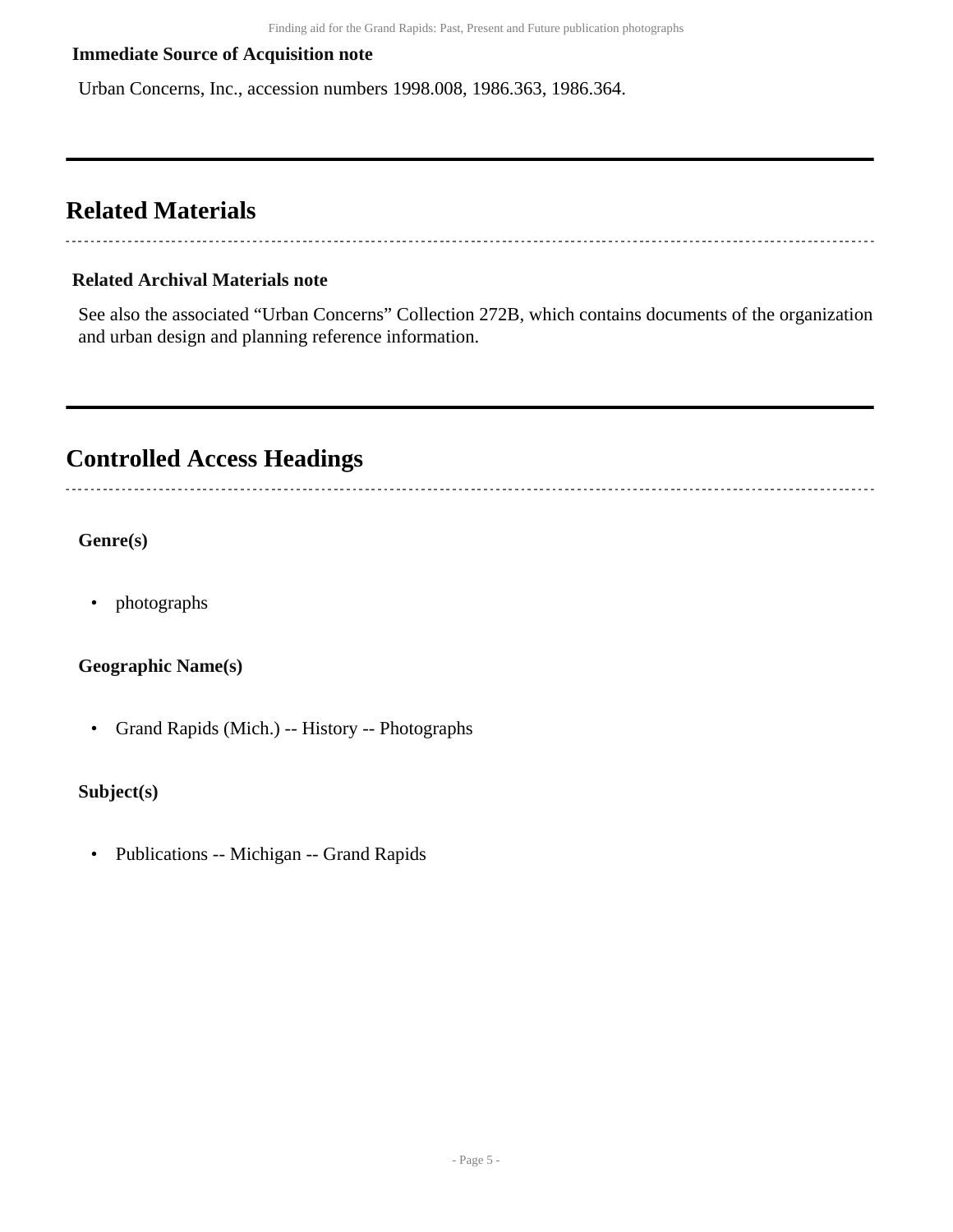#### **Immediate Source of Acquisition note**

Urban Concerns, Inc., accession numbers 1998.008, 1986.363, 1986.364.

## <span id="page-4-0"></span>**Related Materials**

#### **Related Archival Materials note**

See also the associated "Urban Concerns" Collection 272B, which contains documents of the organization and urban design and planning reference information.

### <span id="page-4-1"></span>**Controlled Access Headings**

**Genre(s)**

• photographs

#### **Geographic Name(s)**

• Grand Rapids (Mich.) -- History -- Photographs

#### **Subject(s)**

• Publications -- Michigan -- Grand Rapids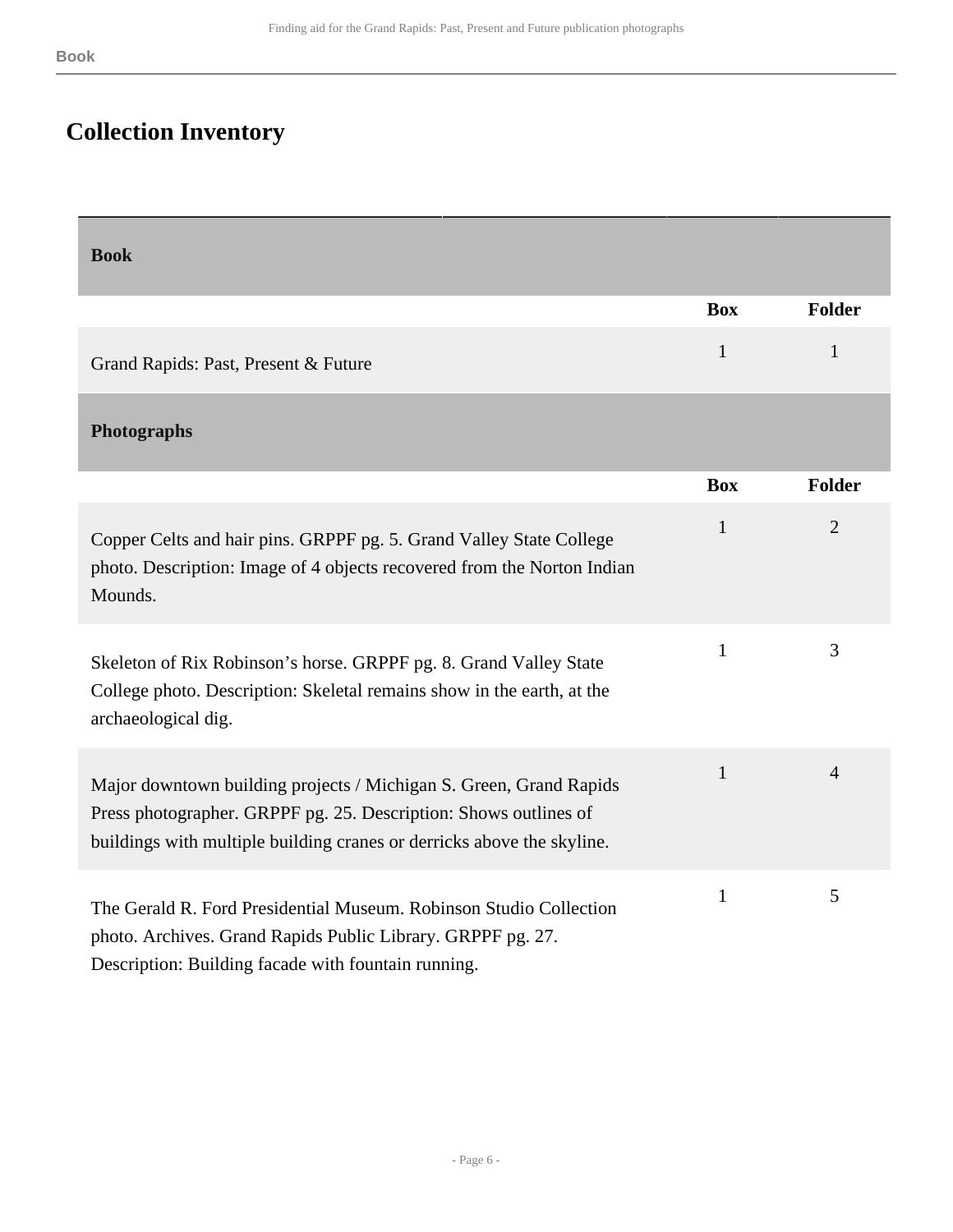## <span id="page-5-0"></span>**Collection Inventory**

<span id="page-5-2"></span><span id="page-5-1"></span>

| <b>Book</b>                                                                                                                                                                                                      |              |                |
|------------------------------------------------------------------------------------------------------------------------------------------------------------------------------------------------------------------|--------------|----------------|
|                                                                                                                                                                                                                  | <b>Box</b>   | <b>Folder</b>  |
| Grand Rapids: Past, Present & Future                                                                                                                                                                             | $\mathbf{1}$ | $\mathbf{1}$   |
| Photographs                                                                                                                                                                                                      |              |                |
|                                                                                                                                                                                                                  | <b>Box</b>   | <b>Folder</b>  |
| Copper Celts and hair pins. GRPPF pg. 5. Grand Valley State College<br>photo. Description: Image of 4 objects recovered from the Norton Indian<br>Mounds.                                                        | $\mathbf{1}$ | $\overline{2}$ |
| Skeleton of Rix Robinson's horse. GRPPF pg. 8. Grand Valley State<br>College photo. Description: Skeletal remains show in the earth, at the<br>archaeological dig.                                               | $\mathbf{1}$ | 3              |
| Major downtown building projects / Michigan S. Green, Grand Rapids<br>Press photographer. GRPPF pg. 25. Description: Shows outlines of<br>buildings with multiple building cranes or derricks above the skyline. | $\mathbf{1}$ | $\overline{4}$ |
| The Gerald R. Ford Presidential Museum. Robinson Studio Collection<br>photo. Archives. Grand Rapids Public Library. GRPPF pg. 27.<br>Description: Building facade with fountain running.                         | $\mathbf{1}$ | 5              |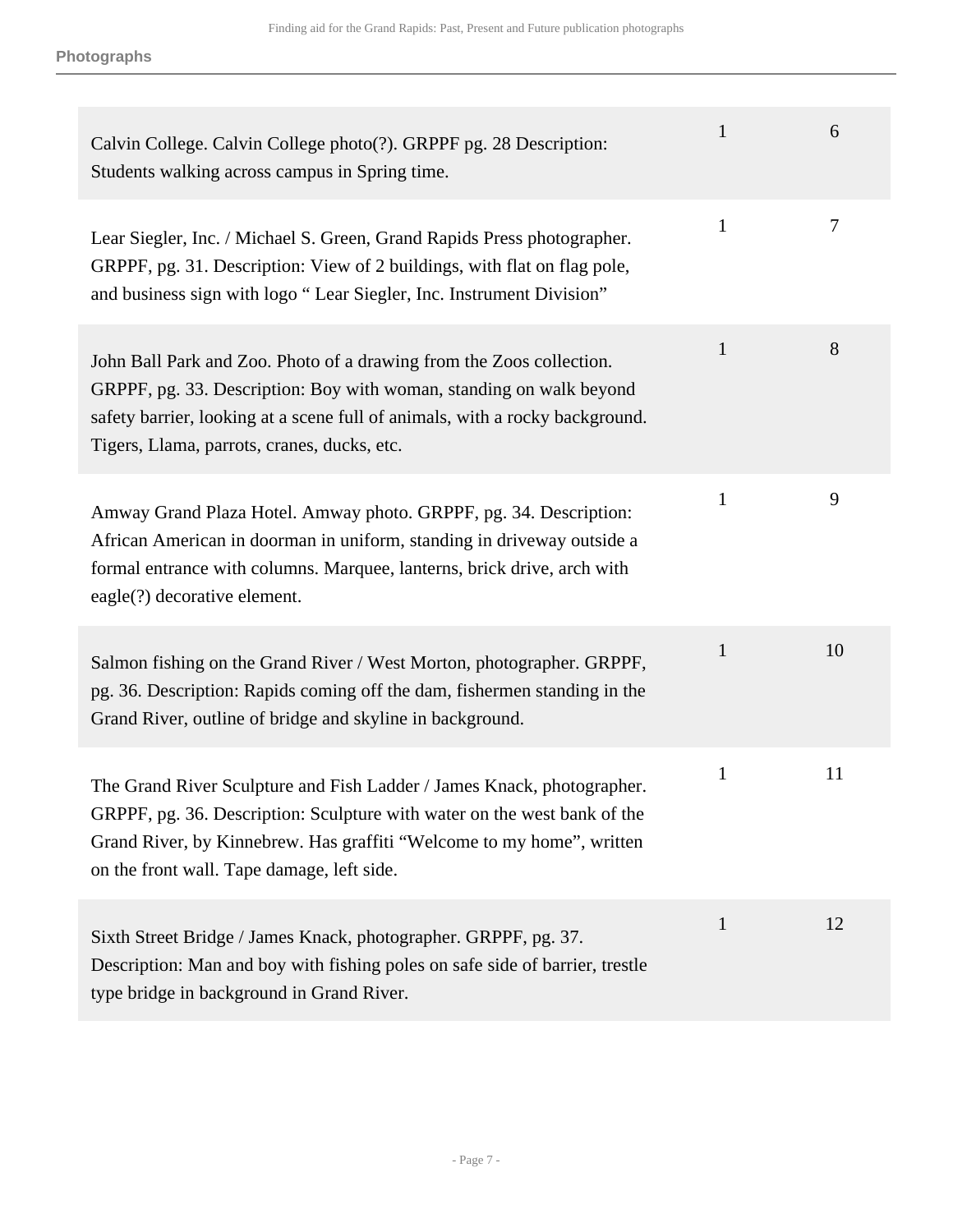| Calvin College. Calvin College photo(?). GRPPF pg. 28 Description:<br>Students walking across campus in Spring time.                                                                                                                                                       | $\mathbf{1}$ | 6  |
|----------------------------------------------------------------------------------------------------------------------------------------------------------------------------------------------------------------------------------------------------------------------------|--------------|----|
| Lear Siegler, Inc. / Michael S. Green, Grand Rapids Press photographer.<br>GRPPF, pg. 31. Description: View of 2 buildings, with flat on flag pole,<br>and business sign with logo "Lear Siegler, Inc. Instrument Division"                                                | $\mathbf{1}$ | 7  |
| John Ball Park and Zoo. Photo of a drawing from the Zoos collection.<br>GRPPF, pg. 33. Description: Boy with woman, standing on walk beyond<br>safety barrier, looking at a scene full of animals, with a rocky background.<br>Tigers, Llama, parrots, cranes, ducks, etc. | $\mathbf{1}$ | 8  |
| Amway Grand Plaza Hotel. Amway photo. GRPPF, pg. 34. Description:<br>African American in doorman in uniform, standing in driveway outside a<br>formal entrance with columns. Marquee, lanterns, brick drive, arch with<br>eagle(?) decorative element.                     | 1            | 9  |
| Salmon fishing on the Grand River / West Morton, photographer. GRPPF,<br>pg. 36. Description: Rapids coming off the dam, fishermen standing in the<br>Grand River, outline of bridge and skyline in background.                                                            | $\mathbf{1}$ | 10 |
| The Grand River Sculpture and Fish Ladder / James Knack, photographer.<br>GRPPF, pg. 36. Description: Sculpture with water on the west bank of the<br>Grand River, by Kinnebrew. Has graffiti "Welcome to my home", written<br>on the front wall. Tape damage, left side.  | $\mathbf{1}$ | 11 |
| Sixth Street Bridge / James Knack, photographer. GRPPF, pg. 37.<br>Description: Man and boy with fishing poles on safe side of barrier, trestle<br>type bridge in background in Grand River.                                                                               | $\mathbf{1}$ | 12 |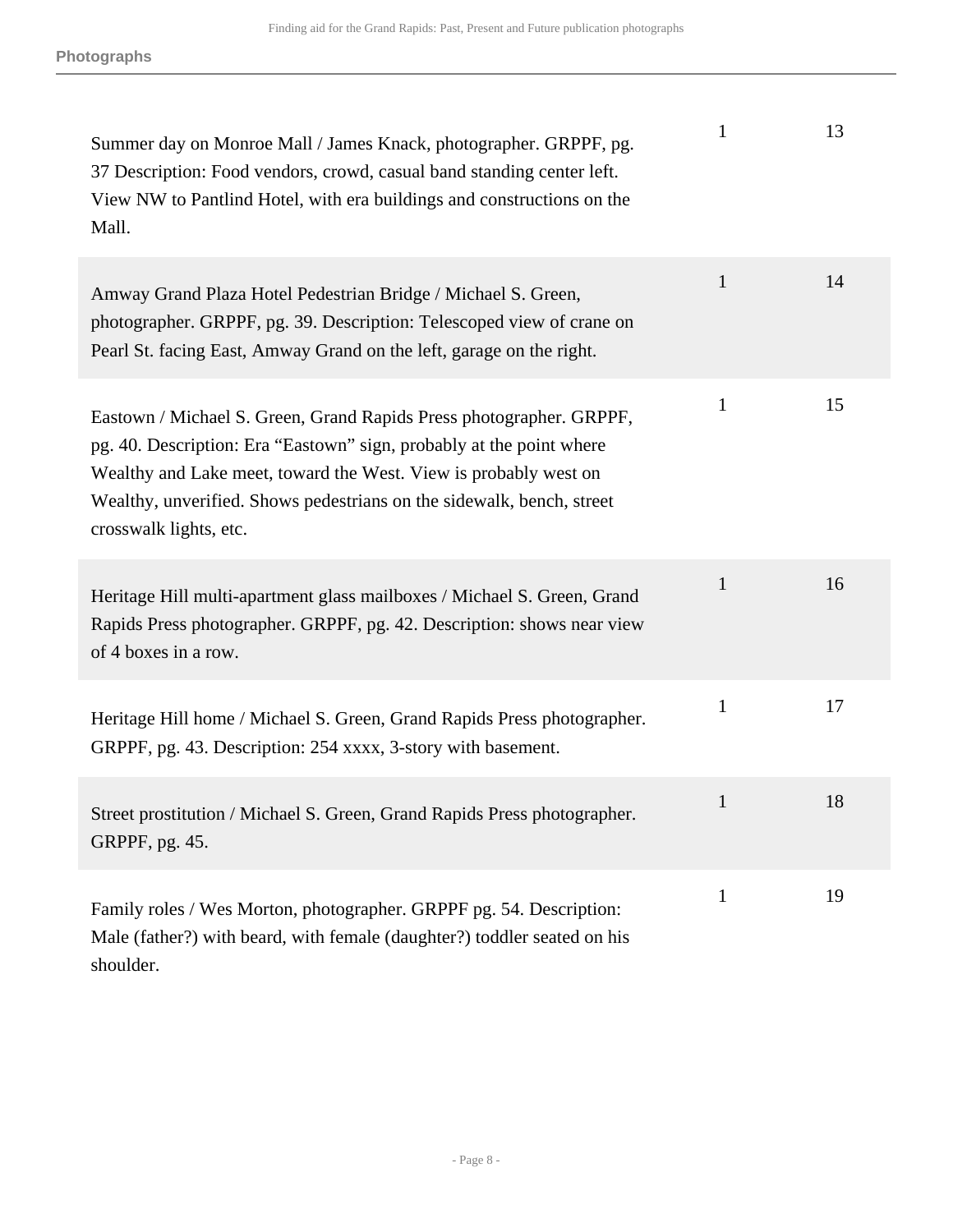| Summer day on Monroe Mall / James Knack, photographer. GRPPF, pg.<br>37 Description: Food vendors, crowd, casual band standing center left.<br>View NW to Pantlind Hotel, with era buildings and constructions on the<br>Mall.                                                                                     | $\mathbf{1}$ | 13 |
|--------------------------------------------------------------------------------------------------------------------------------------------------------------------------------------------------------------------------------------------------------------------------------------------------------------------|--------------|----|
| Amway Grand Plaza Hotel Pedestrian Bridge / Michael S. Green,<br>photographer. GRPPF, pg. 39. Description: Telescoped view of crane on<br>Pearl St. facing East, Amway Grand on the left, garage on the right.                                                                                                     | $\mathbf{1}$ | 14 |
| Eastown / Michael S. Green, Grand Rapids Press photographer. GRPPF,<br>pg. 40. Description: Era "Eastown" sign, probably at the point where<br>Wealthy and Lake meet, toward the West. View is probably west on<br>Wealthy, unverified. Shows pedestrians on the sidewalk, bench, street<br>crosswalk lights, etc. | $\mathbf{1}$ | 15 |
| Heritage Hill multi-apartment glass mailboxes / Michael S. Green, Grand<br>Rapids Press photographer. GRPPF, pg. 42. Description: shows near view<br>of 4 boxes in a row.                                                                                                                                          | $\mathbf{1}$ | 16 |
| Heritage Hill home / Michael S. Green, Grand Rapids Press photographer.<br>GRPPF, pg. 43. Description: 254 xxxx, 3-story with basement.                                                                                                                                                                            | $\mathbf{1}$ | 17 |
| Street prostitution / Michael S. Green, Grand Rapids Press photographer.<br>GRPPF, pg. 45.                                                                                                                                                                                                                         | $\mathbf{1}$ | 18 |
| Family roles / Wes Morton, photographer. GRPPF pg. 54. Description:<br>Male (father?) with beard, with female (daughter?) toddler seated on his<br>shoulder.                                                                                                                                                       | $\mathbf{1}$ | 19 |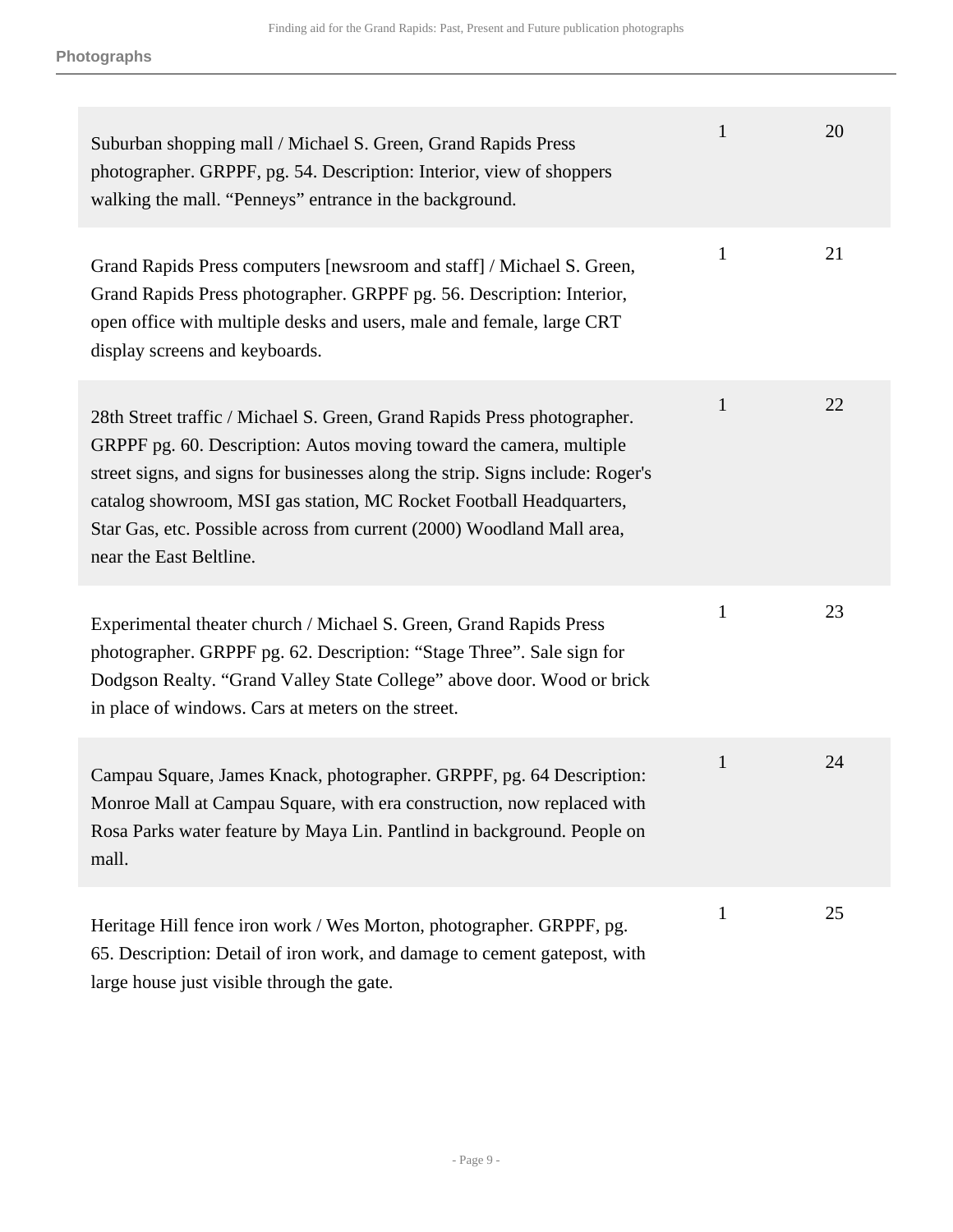| Suburban shopping mall / Michael S. Green, Grand Rapids Press<br>photographer. GRPPF, pg. 54. Description: Interior, view of shoppers<br>walking the mall. "Penneys" entrance in the background.                                                                                                                                                                                                              | $\mathbf{1}$ | 20 |
|---------------------------------------------------------------------------------------------------------------------------------------------------------------------------------------------------------------------------------------------------------------------------------------------------------------------------------------------------------------------------------------------------------------|--------------|----|
| Grand Rapids Press computers [newsroom and staff] / Michael S. Green,<br>Grand Rapids Press photographer. GRPPF pg. 56. Description: Interior,<br>open office with multiple desks and users, male and female, large CRT<br>display screens and keyboards.                                                                                                                                                     | $\mathbf{1}$ | 21 |
| 28th Street traffic / Michael S. Green, Grand Rapids Press photographer.<br>GRPPF pg. 60. Description: Autos moving toward the camera, multiple<br>street signs, and signs for businesses along the strip. Signs include: Roger's<br>catalog showroom, MSI gas station, MC Rocket Football Headquarters,<br>Star Gas, etc. Possible across from current (2000) Woodland Mall area,<br>near the East Beltline. | $\mathbf{1}$ | 22 |
| Experimental theater church / Michael S. Green, Grand Rapids Press<br>photographer. GRPPF pg. 62. Description: "Stage Three". Sale sign for<br>Dodgson Realty. "Grand Valley State College" above door. Wood or brick<br>in place of windows. Cars at meters on the street.                                                                                                                                   | $\mathbf{1}$ | 23 |
| Campau Square, James Knack, photographer. GRPPF, pg. 64 Description:<br>Monroe Mall at Campau Square, with era construction, now replaced with<br>Rosa Parks water feature by Maya Lin. Pantlind in background. People on<br>mall.                                                                                                                                                                            | $\mathbf{1}$ | 24 |
| Heritage Hill fence iron work / Wes Morton, photographer. GRPPF, pg.<br>65. Description: Detail of iron work, and damage to cement gatepost, with<br>large house just visible through the gate.                                                                                                                                                                                                               | $\mathbf{1}$ | 25 |